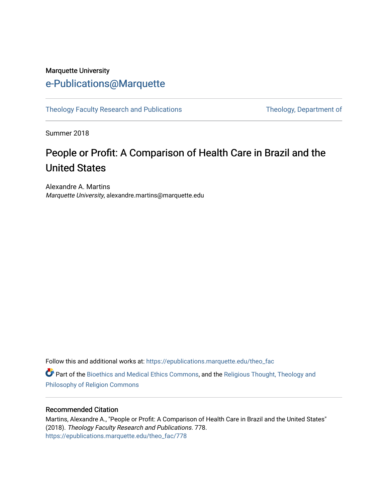### Marquette University [e-Publications@Marquette](https://epublications.marquette.edu/)

[Theology Faculty Research and Publications](https://epublications.marquette.edu/theo_fac) Theology, Department of

Summer 2018

# People or Profit: A Comparison of Health Care in Brazil and the United States

Alexandre A. Martins Marquette University, alexandre.martins@marquette.edu

Follow this and additional works at: [https://epublications.marquette.edu/theo\\_fac](https://epublications.marquette.edu/theo_fac?utm_source=epublications.marquette.edu%2Ftheo_fac%2F778&utm_medium=PDF&utm_campaign=PDFCoverPages) 

Part of the [Bioethics and Medical Ethics Commons,](http://network.bepress.com/hgg/discipline/650?utm_source=epublications.marquette.edu%2Ftheo_fac%2F778&utm_medium=PDF&utm_campaign=PDFCoverPages) and the [Religious Thought, Theology and](http://network.bepress.com/hgg/discipline/544?utm_source=epublications.marquette.edu%2Ftheo_fac%2F778&utm_medium=PDF&utm_campaign=PDFCoverPages) [Philosophy of Religion Commons](http://network.bepress.com/hgg/discipline/544?utm_source=epublications.marquette.edu%2Ftheo_fac%2F778&utm_medium=PDF&utm_campaign=PDFCoverPages)

### Recommended Citation

Martins, Alexandre A., "People or Profit: A Comparison of Health Care in Brazil and the United States" (2018). Theology Faculty Research and Publications. 778. [https://epublications.marquette.edu/theo\\_fac/778](https://epublications.marquette.edu/theo_fac/778?utm_source=epublications.marquette.edu%2Ftheo_fac%2F778&utm_medium=PDF&utm_campaign=PDFCoverPages)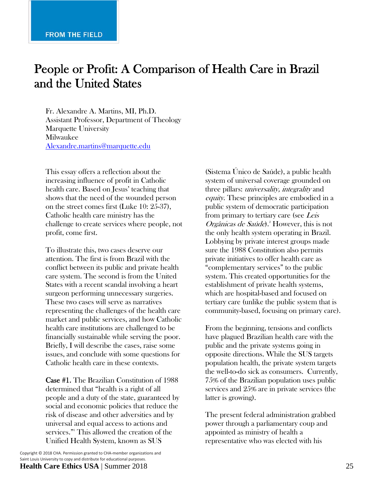# People or Profit: A Comparison of Health Care in Brazil and the United States

Fr. Alexandre A. Martins, MI, Ph.D. Assistant Professor, Department of Theology Marquette University Milwaukee Alexandre.martins@marquette.edu

This essay offers a reflection about the increasing influence of profit in Catholic health care. Based on Jesus' teaching that shows that the need of the wounded person on the street comes first (Luke 10: 25-37), Catholic health care ministry has the challenge to create services where people, not profit, come first.

To illustrate this, two cases deserve our attention. The first is from Brazil with the conflict between its public and private health care system. The second is from the United States with a recent scandal involving a heart surgeon performing unnecessary surgeries. These two cases will serve as narratives representing the challenges of the health care market and public services, and how Catholic health care institutions are challenged to be financially sustainable while serving the poor. Briefly, I will describe the cases, raise some issues, and conclude with some questions for Catholic health care in these contexts.

Case #1. The Brazilian Constitution of 1988 determined that "health is a right of all people and a duty of the state, guaranteed by social and economic policies that reduce the risk of disease and other adversities and by universal and equal access to actions and services."1 This allowed the creation of the Unified Health System, known as SUS

Copyright © 2018 CHA. Permission granted to CHA‐member organizations and Saint Louis University to copy and distribute for educational purposes. **Health Care Ethics USA** | Summer 2018 25

(Sistema Único de Saúde), a public health system of universal coverage grounded on three pillars: *universality, integrality* and equity. These principles are embodied in a public system of democratic participation from primary to tertiary care (see Leis Orgânicas de Saúde).<sup>2</sup> However, this is not the only health system operating in Brazil. Lobbying by private interest groups made sure the 1988 Constitution also permits private initiatives to offer health care as "complementary services" to the public system. This created opportunities for the establishment of private health systems, which are hospital-based and focused on tertiary care (unlike the public system that is community-based, focusing on primary care).

From the beginning, tensions and conflicts have plagued Brazilian health care with the public and the private systems going in opposite directions. While the SUS targets population health, the private system targets the well-to-do sick as consumers. Currently, 75% of the Brazilian population uses public services and 25% are in private services (the latter is growing).

The present federal administration grabbed power through a parliamentary coup and appointed as ministry of health a representative who was elected with his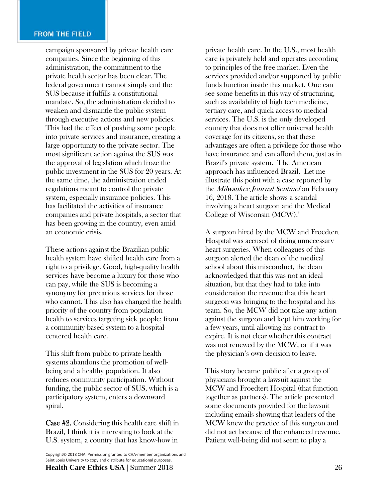campaign sponsored by private health care companies. Since the beginning of this administration, the commitment to the private health sector has been clear. The federal government cannot simply end the SUS because it fulfills a constitutional mandate. So, the administration decided to weaken and dismantle the public system through executive actions and new policies. This had the effect of pushing some people into private services and insurance, creating a large opportunity to the private sector. The most significant action against the SUS was the approval of legislation which froze the public investment in the SUS for 20 years. At the same time, the administration ended regulations meant to control the private system, especially insurance policies. This has facilitated the activities of insurance companies and private hospitals, a sector that has been growing in the country, even amid an economic crisis.

These actions against the Brazilian public health system have shifted health care from a right to a privilege. Good, high-quality health services have become a luxury for those who can pay, while the SUS is becoming a synonymy for precarious services for those who cannot. This also has changed the health priority of the country from population health to services targeting sick people; from a community-based system to a hospitalcentered health care.

This shift from public to private health systems abandons the promotion of wellbeing and a healthy population. It also reduces community participation. Without funding, the public sector of SUS, which is a participatory system, enters a downward spiral.

Case #2. Considering this health care shift in Brazil, I think it is interesting to look at the U.S. system, a country that has know-how in

private health care. In the U.S., most health care is privately held and operates according to principles of the free market. Even the services provided and/or supported by public funds function inside this market. One can see some benefits in this way of structuring, such as availability of high tech medicine, tertiary care, and quick access to medical services. The U.S. is the only developed country that does not offer universal health coverage for its citizens, so that these advantages are often a privilege for those who have insurance and can afford them, just as in Brazil's private system. The American approach has influenced Brazil. Let me illustrate this point with a case reported by the Milwaukee Journal Sentinel on February 16, 2018. The article shows a scandal involving a heart surgeon and the Medical College of Wisconsin (MCW).<sup>3</sup>

A surgeon hired by the MCW and Froedtert Hospital was accused of doing unnecessary heart surgeries. When colleagues of this surgeon alerted the dean of the medical school about this misconduct, the dean acknowledged that this was not an ideal situation, but that they had to take into consideration the revenue that this heart surgeon was bringing to the hospital and his team. So, the MCW did not take any action against the surgeon and kept him working for a few years, until allowing his contract to expire. It is not clear whether this contract was not renewed by the MCW, or if it was the physician's own decision to leave.

This story became public after a group of physicians brought a lawsuit against the MCW and Froedtert Hospital (that function together as partners). The article presented some documents provided for the lawsuit including emails showing that leaders of the MCW knew the practice of this surgeon and did not act because of the enhanced revenue. Patient well-being did not seem to play a

Copyright© <sup>2018</sup> CHA. Permission granted to CHA‐member organizations and Saint Louis University to copy and distribute for educational purposes. **Health Care Ethics USA** | Summer 2018 26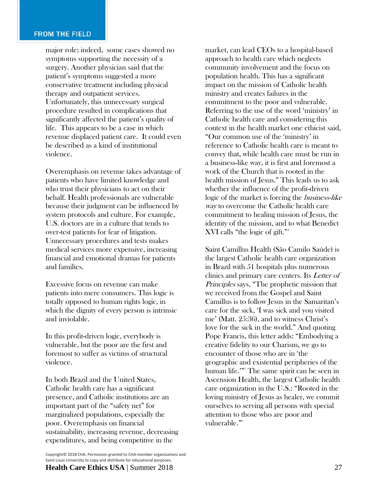#### **FROM THE FIELD**

major role; indeed, some cases showed no symptoms supporting the necessity of a surgery. Another physician said that the patient's symptoms suggested a more conservative treatment including physical therapy and outpatient services. Unfortunately, this unnecessary surgical procedure resulted in complications that significantly affected the patient's quality of life. This appears to be a case in which revenue displaced patient care. It could even be described as a kind of institutional violence.

Overemphasis on revenue takes advantage of patients who have limited knowledge and who trust their physicians to act on their behalf. Health professionals are vulnerable because their judgment can be influenced by system protocols and culture. For example, U.S. doctors are in a culture that tends to over-test patients for fear of litigation. Unnecessary procedures and tests makes medical services more expensive, increasing financial and emotional dramas for patients and families.

Excessive focus on revenue can make patients into mere consumers. This logic is totally opposed to human rights logic, in which the dignity of every person is intrinsic and inviolable.

In this profit-driven logic, everybody is vulnerable, but the poor are the first and foremost to suffer as victims of structural violence.

In both Brazil and the United States, Catholic health care has a significant presence, and Catholic institutions are an important part of the "safety net" for marginalized populations, especially the poor. Overemphasis on financial sustainability, increasing revenue, decreasing expenditures, and being competitive in the

 Copyright© <sup>2018</sup> CHA. Permission granted to CHA‐member organizations and Saint Louis University to copy and distribute for educational purposes. **Health Care Ethics USA** | Summer 2018 27

market, can lead CEOs to a hospital-based approach to health care which neglects community involvement and the focus on population health. This has a significant impact on the mission of Catholic health ministry and creates failures in the commitment to the poor and vulnerable. Referring to the use of the word 'ministry' in Catholic health care and considering this context in the health market one ethicist said, "Our common use of the 'ministry' in reference to Catholic health care is meant to convey that, while health care must be run in a business-like way, it is first and foremost a work of the Church that is rooted in the health mission of Jesus." This leads us to ask whether the influence of the profit-driven logic of the market is forcing the business-like way to overcome the Catholic health care commitment to healing mission of Jesus, the identity of the mission, and to what Benedict XVI calls "the logic of gift."4

Saint Camillus Health (São Camilo Saúde) is the largest Catholic health care organization in Brazil with 51 hospitals plus numerous clinics and primary care centers. Its Letter of Principles says, "The prophetic mission that we received from the Gospel and Saint Camillus is to follow Jesus in the Samaritan's care for the sick, 'I was sick and you visited me' (Matt. 25:36), and to witness Christ's love for the sick in the world." And quoting Pope Francis, this letter adds: "Embodying a creative fidelity to our Charism, we go to encounter of those who are in 'the geographic and existential peripheries of the human life.'"5 The same spirit can be seen in Ascension Health, the largest Catholic health care organization in the U.S.: "Rooted in the loving ministry of Jesus as healer, we commit ourselves to serving all persons with special attention to those who are poor and vulnerable."<sup>6</sup>